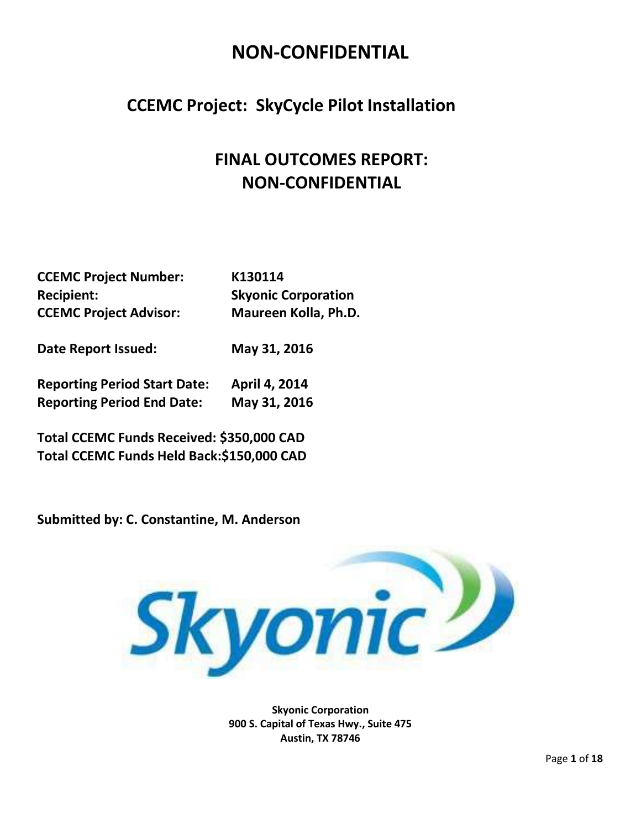### **CCEMC Project: SkyCycle Pilot Installation**

### **FINAL OUTCOMES REPORT: NON-CONFIDENTIAL**

| <b>CCEMC Project Number:</b>  | K130114                    |
|-------------------------------|----------------------------|
| <b>Recipient:</b>             | <b>Skyonic Corporation</b> |
| <b>CCEMC Project Advisor:</b> | Maureen Kolla, Ph.D.       |
| <b>Date Report Issued:</b>    | May 31, 2016               |

**Reporting Period Start Date: April 4, 2014 Reporting Period End Date: May 31, 2016**

**Total CCEMC Funds Received: \$350,000 CAD Total CCEMC Funds Held Back:\$150,000 CAD**

**Submitted by: C. Constantine, M. Anderson**



**Skyonic Corporation 900 S. Capital of Texas Hwy., Suite 475 Austin, TX 78746**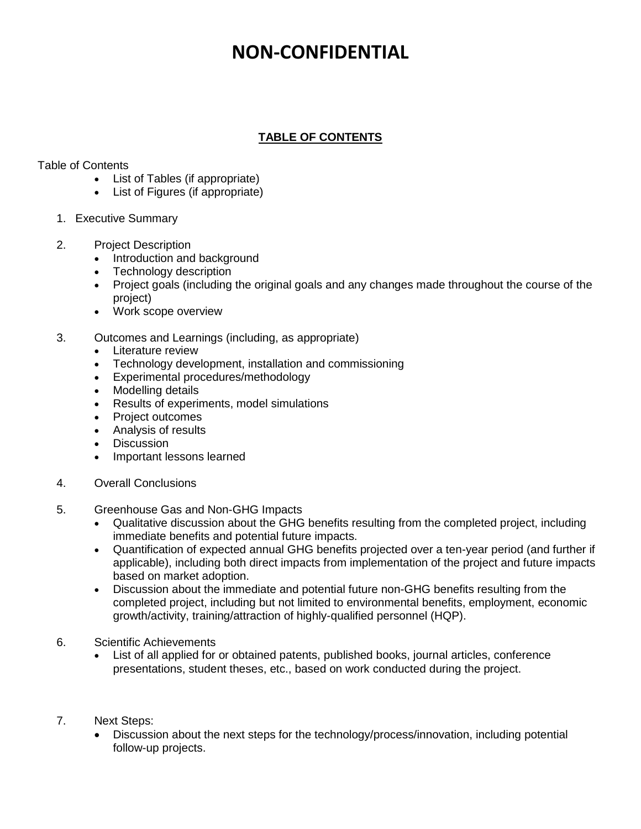#### **TABLE OF CONTENTS**

#### Table of Contents

- List of Tables (if appropriate)
- List of Figures (if appropriate)
- 1. Executive Summary
- 2. Project Description
	- Introduction and background
	- Technology description
	- Project goals (including the original goals and any changes made throughout the course of the project)
	- Work scope overview
- 3. Outcomes and Learnings (including, as appropriate)
	- Literature review
	- Technology development, installation and commissioning
	- Experimental procedures/methodology
	- Modelling details
	- Results of experiments, model simulations
	- Project outcomes
	- Analysis of results
	- Discussion
	- Important lessons learned
- 4. Overall Conclusions
- 5. Greenhouse Gas and Non-GHG Impacts
	- Qualitative discussion about the GHG benefits resulting from the completed project, including immediate benefits and potential future impacts.
	- Quantification of expected annual GHG benefits projected over a ten-year period (and further if applicable), including both direct impacts from implementation of the project and future impacts based on market adoption.
	- Discussion about the immediate and potential future non-GHG benefits resulting from the completed project, including but not limited to environmental benefits, employment, economic growth/activity, training/attraction of highly-qualified personnel (HQP).
- 6. Scientific Achievements
	- List of all applied for or obtained patents, published books, journal articles, conference presentations, student theses, etc., based on work conducted during the project.
- 7. Next Steps:
	- Discussion about the next steps for the technology/process/innovation, including potential follow-up projects.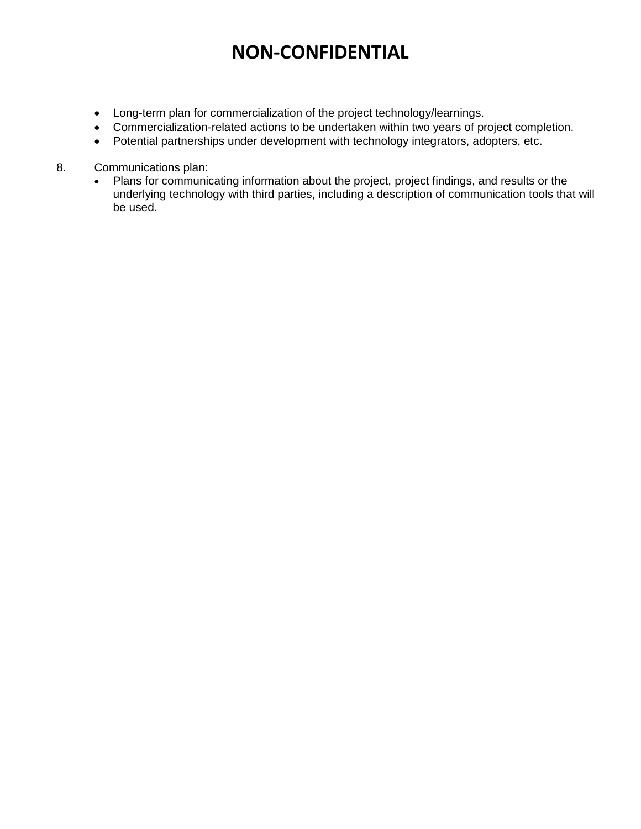- Long-term plan for commercialization of the project technology/learnings.
- Commercialization-related actions to be undertaken within two years of project completion.
- Potential partnerships under development with technology integrators, adopters, etc.
- 8. Communications plan:
	- Plans for communicating information about the project, project findings, and results or the underlying technology with third parties, including a description of communication tools that will be used.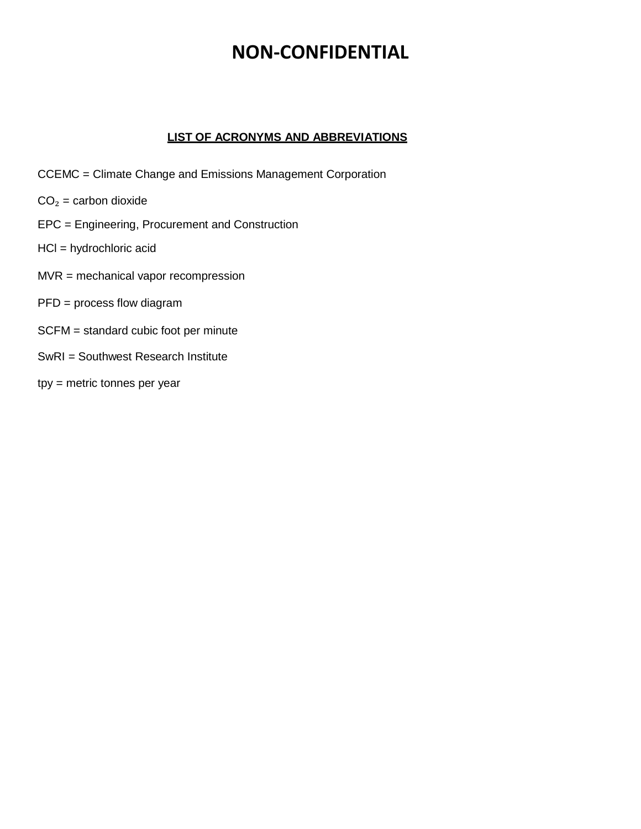#### **LIST OF ACRONYMS AND ABBREVIATIONS**

- CCEMC = Climate Change and Emissions Management Corporation
- $CO<sub>2</sub> =$  carbon dioxide
- EPC = Engineering, Procurement and Construction
- HCl = hydrochloric acid
- MVR = mechanical vapor recompression
- PFD = process flow diagram
- SCFM = standard cubic foot per minute
- SwRI = Southwest Research Institute
- tpy = metric tonnes per year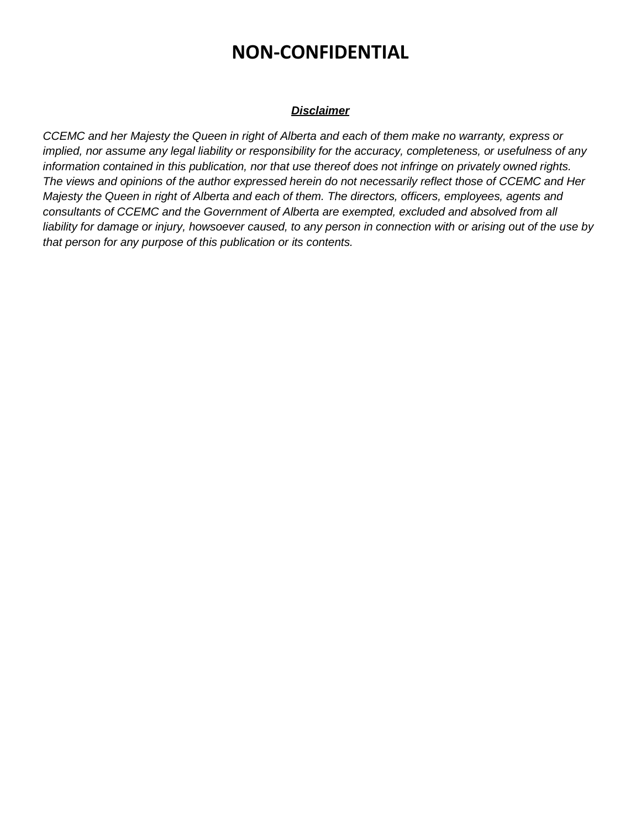#### *Disclaimer*

*CCEMC and her Majesty the Queen in right of Alberta and each of them make no warranty, express or implied, nor assume any legal liability or responsibility for the accuracy, completeness, or usefulness of any information contained in this publication, nor that use thereof does not infringe on privately owned rights. The views and opinions of the author expressed herein do not necessarily reflect those of CCEMC and Her Majesty the Queen in right of Alberta and each of them. The directors, officers, employees, agents and consultants of CCEMC and the Government of Alberta are exempted, excluded and absolved from all liability for damage or injury, howsoever caused, to any person in connection with or arising out of the use by that person for any purpose of this publication or its contents.*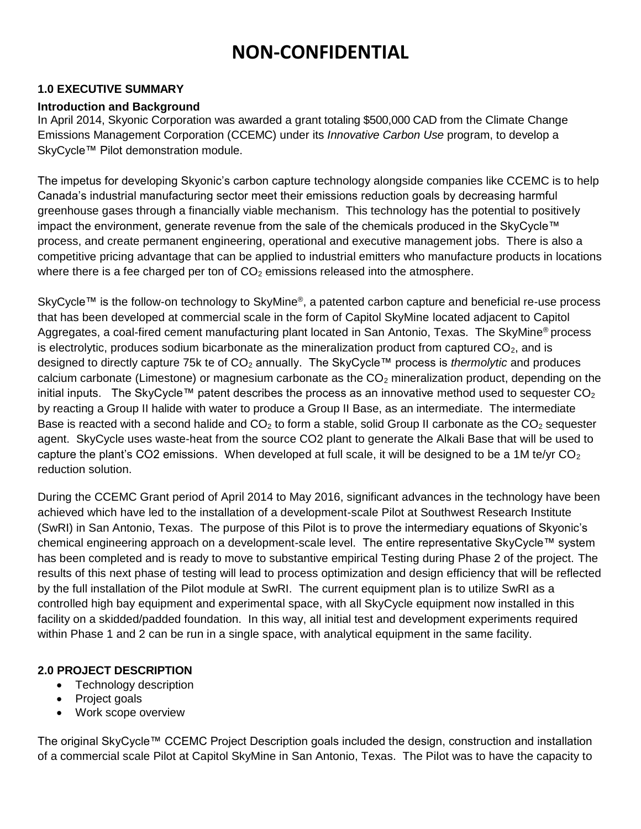#### **1.0 EXECUTIVE SUMMARY**

#### **Introduction and Background**

In April 2014, Skyonic Corporation was awarded a grant totaling \$500,000 CAD from the Climate Change Emissions Management Corporation (CCEMC) under its *Innovative Carbon Use* program, to develop a SkyCycle™ Pilot demonstration module.

The impetus for developing Skyonic's carbon capture technology alongside companies like CCEMC is to help Canada's industrial manufacturing sector meet their emissions reduction goals by decreasing harmful greenhouse gases through a financially viable mechanism. This technology has the potential to positively impact the environment, generate revenue from the sale of the chemicals produced in the SkyCycle™ process, and create permanent engineering, operational and executive management jobs. There is also a competitive pricing advantage that can be applied to industrial emitters who manufacture products in locations where there is a fee charged per ton of  $CO<sub>2</sub>$  emissions released into the atmosphere.

SkyCycle™ is the follow-on technology to SkyMine®, a patented carbon capture and beneficial re-use process that has been developed at commercial scale in the form of Capitol SkyMine located adjacent to Capitol Aggregates, a coal-fired cement manufacturing plant located in San Antonio, Texas. The SkyMine® process is electrolytic, produces sodium bicarbonate as the mineralization product from captured  $CO<sub>2</sub>$ , and is designed to directly capture 75k te of CO<sup>2</sup> annually. The SkyCycle™ process is *thermolytic* and produces calcium carbonate (Limestone) or magnesium carbonate as the  $CO<sub>2</sub>$  mineralization product, depending on the initial inputs. The SkyCycle™ patent describes the process as an innovative method used to sequester  $CO<sub>2</sub>$ by reacting a Group II halide with water to produce a Group II Base, as an intermediate. The intermediate Base is reacted with a second halide and  $CO<sub>2</sub>$  to form a stable, solid Group II carbonate as the  $CO<sub>2</sub>$  sequester agent. SkyCycle uses waste-heat from the source CO2 plant to generate the Alkali Base that will be used to capture the plant's CO2 emissions. When developed at full scale, it will be designed to be a 1M te/yr  $CO<sub>2</sub>$ reduction solution.

During the CCEMC Grant period of April 2014 to May 2016, significant advances in the technology have been achieved which have led to the installation of a development-scale Pilot at Southwest Research Institute (SwRI) in San Antonio, Texas. The purpose of this Pilot is to prove the intermediary equations of Skyonic's chemical engineering approach on a development-scale level. The entire representative SkyCycle™ system has been completed and is ready to move to substantive empirical Testing during Phase 2 of the project. The results of this next phase of testing will lead to process optimization and design efficiency that will be reflected by the full installation of the Pilot module at SwRI. The current equipment plan is to utilize SwRI as a controlled high bay equipment and experimental space, with all SkyCycle equipment now installed in this facility on a skidded/padded foundation. In this way, all initial test and development experiments required within Phase 1 and 2 can be run in a single space, with analytical equipment in the same facility.

#### **2.0 PROJECT DESCRIPTION**

- Technology description
- Project goals
- Work scope overview

The original SkyCycle™ CCEMC Project Description goals included the design, construction and installation of a commercial scale Pilot at Capitol SkyMine in San Antonio, Texas. The Pilot was to have the capacity to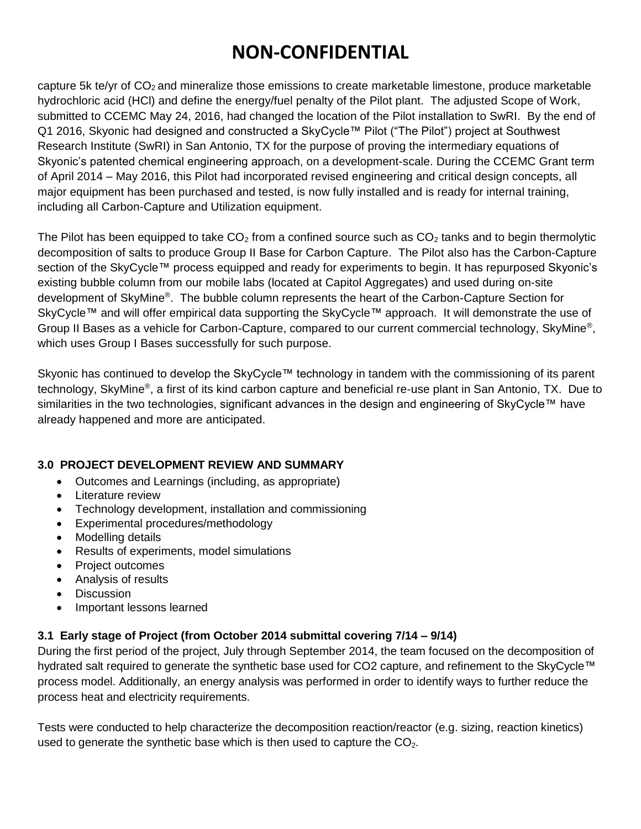capture 5k te/yr of  $CO<sub>2</sub>$  and mineralize those emissions to create marketable limestone, produce marketable hydrochloric acid (HCl) and define the energy/fuel penalty of the Pilot plant. The adjusted Scope of Work, submitted to CCEMC May 24, 2016, had changed the location of the Pilot installation to SwRI. By the end of Q1 2016, Skyonic had designed and constructed a SkyCycle™ Pilot ("The Pilot") project at Southwest Research Institute (SwRI) in San Antonio, TX for the purpose of proving the intermediary equations of Skyonic's patented chemical engineering approach, on a development-scale. During the CCEMC Grant term of April 2014 – May 2016, this Pilot had incorporated revised engineering and critical design concepts, all major equipment has been purchased and tested, is now fully installed and is ready for internal training, including all Carbon-Capture and Utilization equipment.

The Pilot has been equipped to take  $CO<sub>2</sub>$  from a confined source such as  $CO<sub>2</sub>$  tanks and to begin thermolytic decomposition of salts to produce Group II Base for Carbon Capture. The Pilot also has the Carbon-Capture section of the SkyCycle™ process equipped and ready for experiments to begin. It has repurposed Skyonic's existing bubble column from our mobile labs (located at Capitol Aggregates) and used during on-site development of SkyMine® . The bubble column represents the heart of the Carbon-Capture Section for SkyCycle™ and will offer empirical data supporting the SkyCycle™ approach. It will demonstrate the use of Group II Bases as a vehicle for Carbon-Capture, compared to our current commercial technology, SkyMine<sup>®</sup>, which uses Group I Bases successfully for such purpose.

Skyonic has continued to develop the SkyCycle™ technology in tandem with the commissioning of its parent technology, SkyMine®, a first of its kind carbon capture and beneficial re-use plant in San Antonio, TX. Due to similarities in the two technologies, significant advances in the design and engineering of SkyCycle™ have already happened and more are anticipated.

#### **3.0 PROJECT DEVELOPMENT REVIEW AND SUMMARY**

- Outcomes and Learnings (including, as appropriate)
- Literature review
- Technology development, installation and commissioning
- Experimental procedures/methodology
- Modelling details
- Results of experiments, model simulations
- Project outcomes
- Analysis of results
- **Discussion**
- Important lessons learned

#### **3.1 Early stage of Project (from October 2014 submittal covering 7/14 – 9/14)**

During the first period of the project, July through September 2014, the team focused on the decomposition of hydrated salt required to generate the synthetic base used for CO2 capture, and refinement to the SkyCycle™ process model. Additionally, an energy analysis was performed in order to identify ways to further reduce the process heat and electricity requirements.

Tests were conducted to help characterize the decomposition reaction/reactor (e.g. sizing, reaction kinetics) used to generate the synthetic base which is then used to capture the  $CO<sub>2</sub>$ .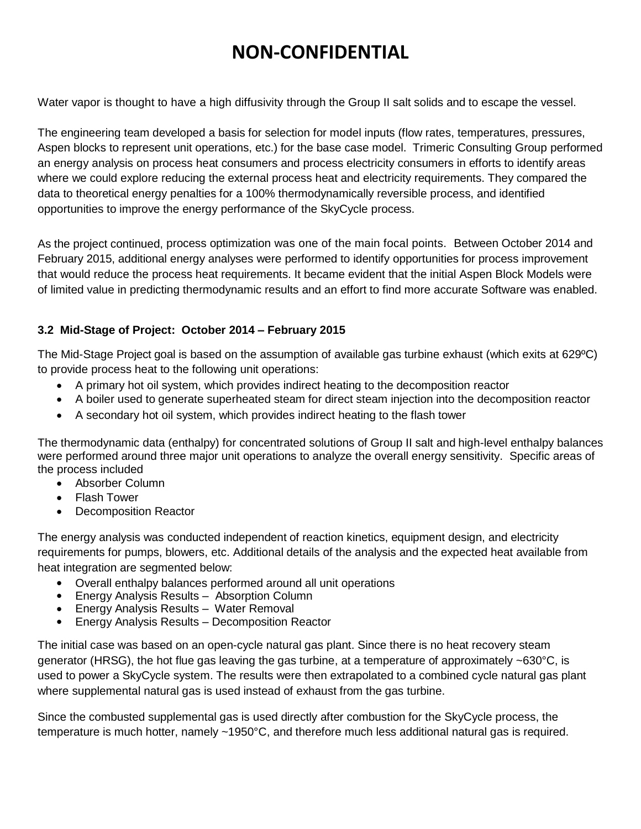Water vapor is thought to have a high diffusivity through the Group II salt solids and to escape the vessel.

The engineering team developed a basis for selection for model inputs (flow rates, temperatures, pressures, Aspen blocks to represent unit operations, etc.) for the base case model. Trimeric Consulting Group performed an energy analysis on process heat consumers and process electricity consumers in efforts to identify areas where we could explore reducing the external process heat and electricity requirements. They compared the data to theoretical energy penalties for a 100% thermodynamically reversible process, and identified opportunities to improve the energy performance of the SkyCycle process.

As the project continued, process optimization was one of the main focal points. Between October 2014 and February 2015, additional energy analyses were performed to identify opportunities for process improvement that would reduce the process heat requirements. It became evident that the initial Aspen Block Models were of limited value in predicting thermodynamic results and an effort to find more accurate Software was enabled.

#### **3.2 Mid-Stage of Project: October 2014 – February 2015**

The Mid-Stage Project goal is based on the assumption of available gas turbine exhaust (which exits at 629ºC) to provide process heat to the following unit operations:

- A primary hot oil system, which provides indirect heating to the decomposition reactor
- A boiler used to generate superheated steam for direct steam injection into the decomposition reactor
- A secondary hot oil system, which provides indirect heating to the flash tower

The thermodynamic data (enthalpy) for concentrated solutions of Group II salt and high-level enthalpy balances were performed around three major unit operations to analyze the overall energy sensitivity. Specific areas of the process included

- Absorber Column
- Flash Tower
- Decomposition Reactor

The energy analysis was conducted independent of reaction kinetics, equipment design, and electricity requirements for pumps, blowers, etc. Additional details of the analysis and the expected heat available from heat integration are segmented below:

- Overall enthalpy balances performed around all unit operations
- Energy Analysis Results Absorption Column
- Energy Analysis Results Water Removal
- Energy Analysis Results Decomposition Reactor

The initial case was based on an open-cycle natural gas plant. Since there is no heat recovery steam generator (HRSG), the hot flue gas leaving the gas turbine, at a temperature of approximately ~630°C, is used to power a SkyCycle system. The results were then extrapolated to a combined cycle natural gas plant where supplemental natural gas is used instead of exhaust from the gas turbine.

Since the combusted supplemental gas is used directly after combustion for the SkyCycle process, the temperature is much hotter, namely ~1950°C, and therefore much less additional natural gas is required.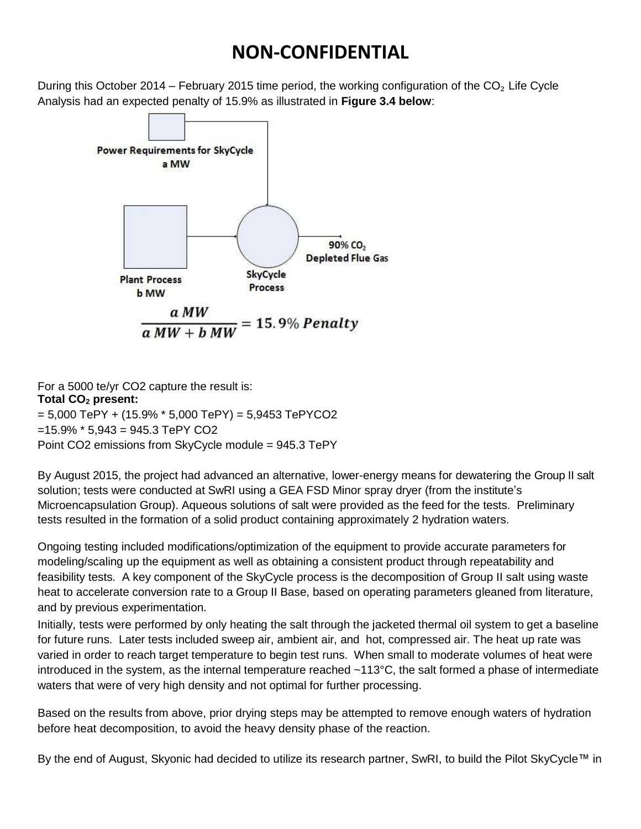During this October 2014 – February 2015 time period, the working configuration of the  $CO<sub>2</sub>$  Life Cycle Analysis had an expected penalty of 15.9% as illustrated in **Figure 3.4 below**:



For a 5000 te/yr CO2 capture the result is: **Total CO<sup>2</sup> present:**   $= 5,000$  TePY + (15.9%  $*$  5,000 TePY) = 5,9453 TePYCO2  $=15.9\%$  \* 5,943 = 945.3 TePY CO2 Point CO2 emissions from SkyCycle module = 945.3 TePY

By August 2015, the project had advanced an alternative, lower-energy means for dewatering the Group II salt solution; tests were conducted at SwRI using a GEA FSD Minor spray dryer (from the institute's Microencapsulation Group). Aqueous solutions of salt were provided as the feed for the tests. Preliminary tests resulted in the formation of a solid product containing approximately 2 hydration waters.

Ongoing testing included modifications/optimization of the equipment to provide accurate parameters for modeling/scaling up the equipment as well as obtaining a consistent product through repeatability and feasibility tests. A key component of the SkyCycle process is the decomposition of Group II salt using waste heat to accelerate conversion rate to a Group II Base, based on operating parameters gleaned from literature, and by previous experimentation.

Initially, tests were performed by only heating the salt through the jacketed thermal oil system to get a baseline for future runs. Later tests included sweep air, ambient air, and hot, compressed air. The heat up rate was varied in order to reach target temperature to begin test runs. When small to moderate volumes of heat were introduced in the system, as the internal temperature reached ~113°C, the salt formed a phase of intermediate waters that were of very high density and not optimal for further processing.

Based on the results from above, prior drying steps may be attempted to remove enough waters of hydration before heat decomposition, to avoid the heavy density phase of the reaction.

By the end of August, Skyonic had decided to utilize its research partner, SwRI, to build the Pilot SkyCycle™ in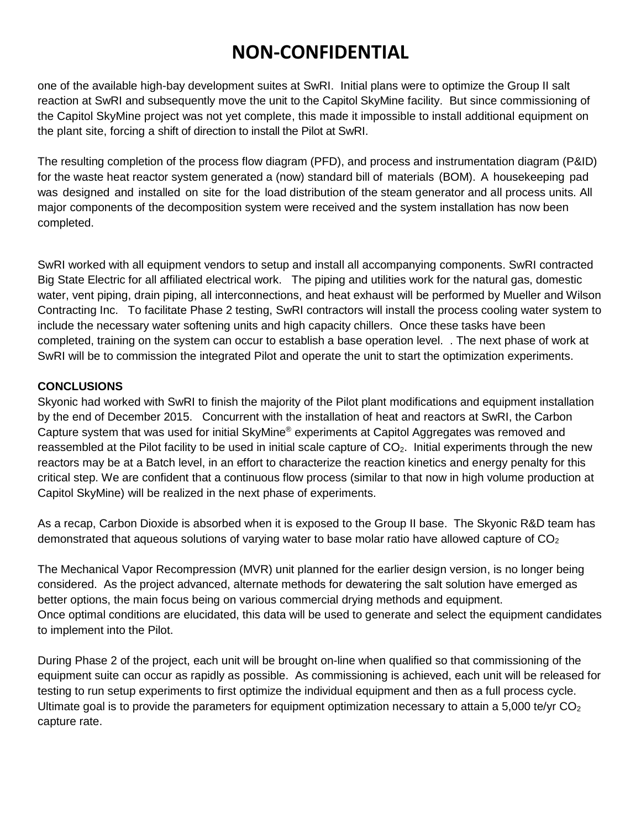one of the available high-bay development suites at SwRI. Initial plans were to optimize the Group II salt reaction at SwRI and subsequently move the unit to the Capitol SkyMine facility. But since commissioning of the Capitol SkyMine project was not yet complete, this made it impossible to install additional equipment on the plant site, forcing a shift of direction to install the Pilot at SwRI.

The resulting completion of the process flow diagram (PFD), and process and instrumentation diagram (P&ID) for the waste heat reactor system generated a (now) standard bill of materials (BOM). A housekeeping pad was designed and installed on site for the load distribution of the steam generator and all process units. All major components of the decomposition system were received and the system installation has now been completed.

SwRI worked with all equipment vendors to setup and install all accompanying components. SwRI contracted Big State Electric for all affiliated electrical work. The piping and utilities work for the natural gas, domestic water, vent piping, drain piping, all interconnections, and heat exhaust will be performed by Mueller and Wilson Contracting Inc. To facilitate Phase 2 testing, SwRI contractors will install the process cooling water system to include the necessary water softening units and high capacity chillers. Once these tasks have been completed, training on the system can occur to establish a base operation level. . The next phase of work at SwRI will be to commission the integrated Pilot and operate the unit to start the optimization experiments.

#### **CONCLUSIONS**

Skyonic had worked with SwRI to finish the majority of the Pilot plant modifications and equipment installation by the end of December 2015. Concurrent with the installation of heat and reactors at SwRI, the Carbon Capture system that was used for initial SkyMine® experiments at Capitol Aggregates was removed and reassembled at the Pilot facility to be used in initial scale capture of  $CO<sub>2</sub>$ . Initial experiments through the new reactors may be at a Batch level, in an effort to characterize the reaction kinetics and energy penalty for this critical step. We are confident that a continuous flow process (similar to that now in high volume production at Capitol SkyMine) will be realized in the next phase of experiments.

As a recap, Carbon Dioxide is absorbed when it is exposed to the Group II base. The Skyonic R&D team has demonstrated that aqueous solutions of varying water to base molar ratio have allowed capture of  $CO<sub>2</sub>$ 

The Mechanical Vapor Recompression (MVR) unit planned for the earlier design version, is no longer being considered. As the project advanced, alternate methods for dewatering the salt solution have emerged as better options, the main focus being on various commercial drying methods and equipment. Once optimal conditions are elucidated, this data will be used to generate and select the equipment candidates to implement into the Pilot.

During Phase 2 of the project, each unit will be brought on-line when qualified so that commissioning of the equipment suite can occur as rapidly as possible. As commissioning is achieved, each unit will be released for testing to run setup experiments to first optimize the individual equipment and then as a full process cycle. Ultimate goal is to provide the parameters for equipment optimization necessary to attain a 5,000 te/yr  $CO<sub>2</sub>$ capture rate.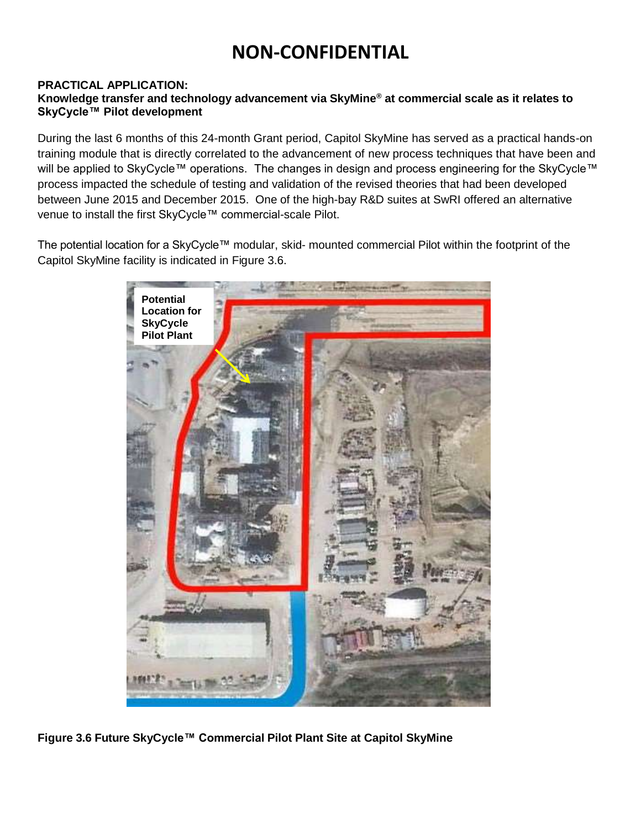#### **PRACTICAL APPLICATION:**

#### **Knowledge transfer and technology advancement via SkyMine® at commercial scale as it relates to SkyCycle™ Pilot development**

During the last 6 months of this 24-month Grant period, Capitol SkyMine has served as a practical hands-on training module that is directly correlated to the advancement of new process techniques that have been and will be applied to SkyCycle™ operations. The changes in design and process engineering for the SkyCycle™ process impacted the schedule of testing and validation of the revised theories that had been developed between June 2015 and December 2015. One of the high-bay R&D suites at SwRI offered an alternative venue to install the first SkyCycle™ commercial-scale Pilot.

The potential location for a SkyCycle™ modular, skid- mounted commercial Pilot within the footprint of the Capitol SkyMine facility is indicated in Figure 3.6.



**Figure 3.6 Future SkyCycle™ Commercial Pilot Plant Site at Capitol SkyMine**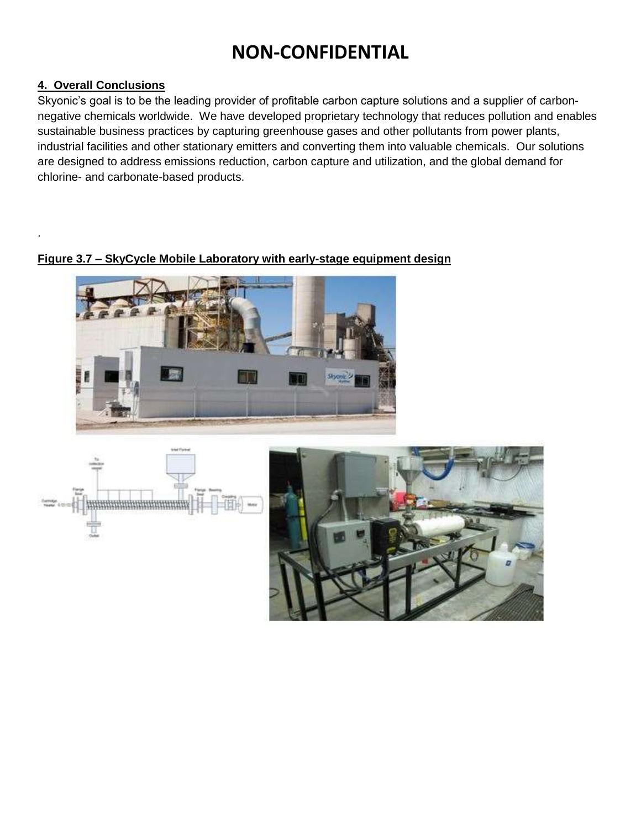#### **4. Overall Conclusions**

.

Skyonic's goal is to be the leading provider of profitable carbon capture solutions and a supplier of carbonnegative chemicals worldwide. We have developed proprietary technology that reduces pollution and enables sustainable business practices by capturing greenhouse gases and other pollutants from power plants, industrial facilities and other stationary emitters and converting them into valuable chemicals. Our solutions are designed to address emissions reduction, carbon capture and utilization, and the global demand for chlorine- and carbonate-based products.

#### **Figure 3.7 – SkyCycle Mobile Laboratory with early-stage equipment design**



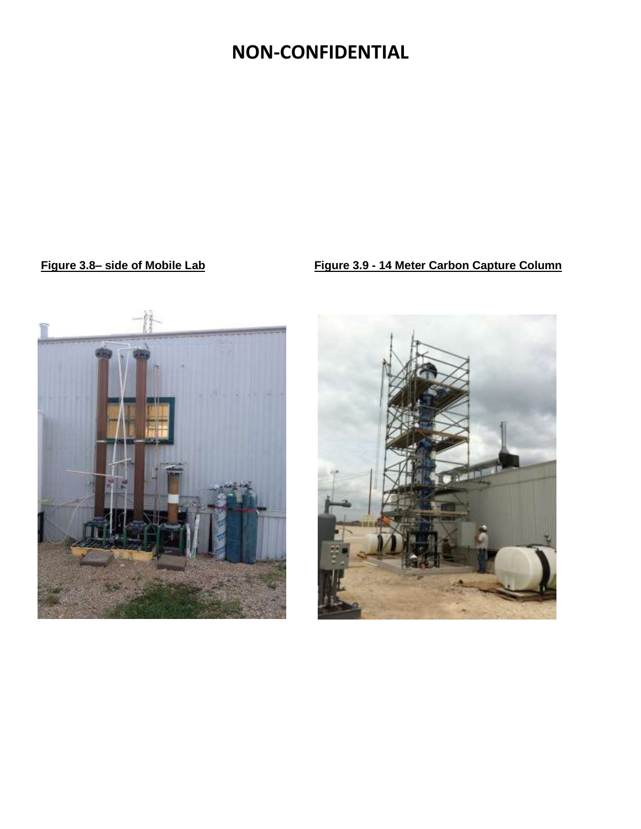#### **Figure 3.8– side of Mobile Lab Figure 3.9 - 14 Meter Carbon Capture Column**



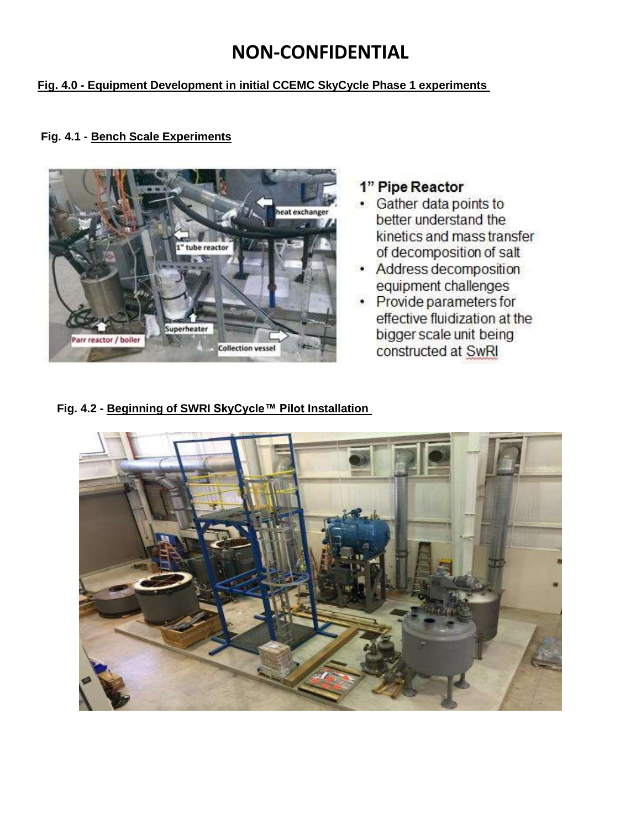#### **Fig. 4.0 - Equipment Development in initial CCEMC SkyCycle Phase 1 experiments**



#### **Fig. 4.1 - Bench Scale Experiments**

### 1" Pipe Reactor

- Gather data points to better understand the kinetics and mass transfer of decomposition of salt
- Address decomposition equipment challenges
- Provide parameters for effective fluidization at the bigger scale unit being constructed at SwRI

**Fig. 4.2 - Beginning of SWRI SkyCycle™ Pilot Installation**

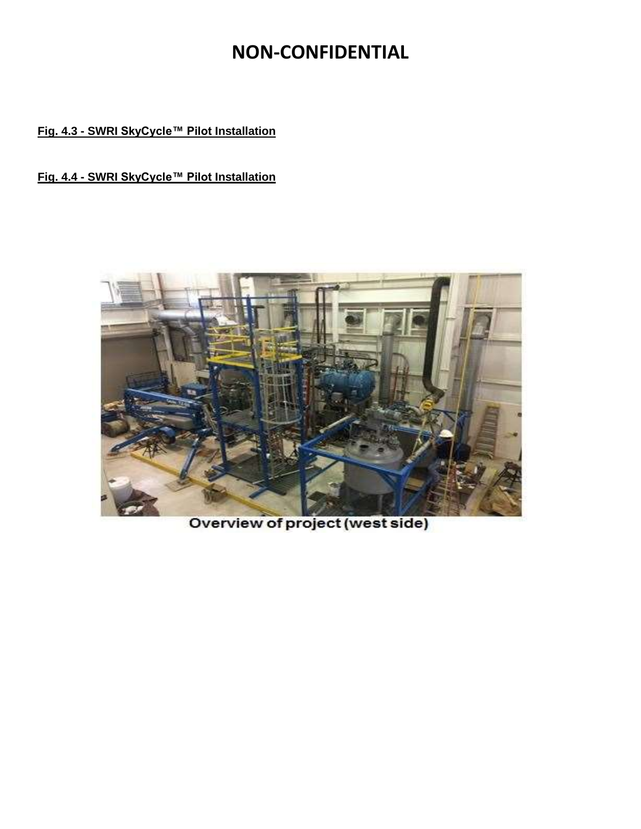#### **Fig. 4.3 - SWRI SkyCycle™ Pilot Installation**

#### **Fig. 4.4 - SWRI SkyCycle™ Pilot Installation**



Overview of project (west side)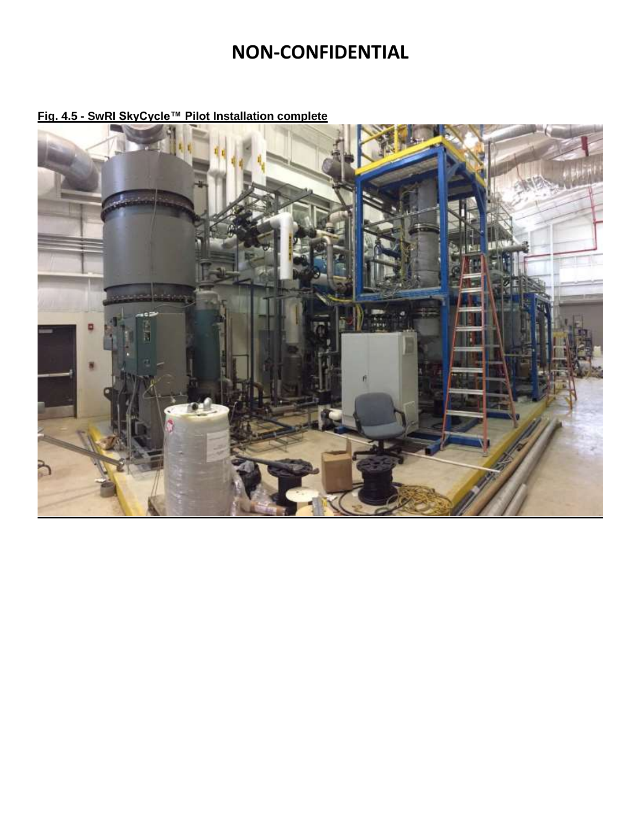

**Fig. 4.5 - SwRI SkyCycle™ Pilot Installation complete**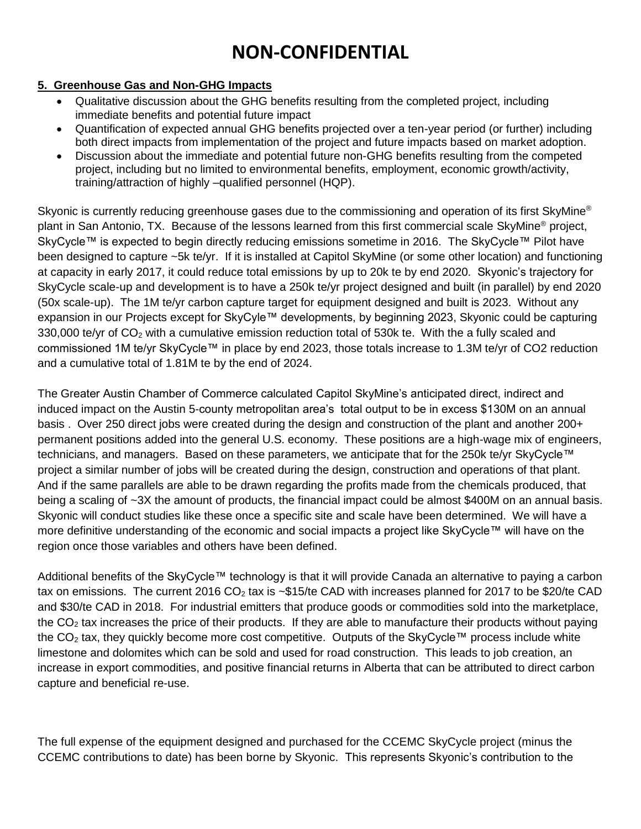#### **5. Greenhouse Gas and Non-GHG Impacts**

- Qualitative discussion about the GHG benefits resulting from the completed project, including immediate benefits and potential future impact
- Quantification of expected annual GHG benefits projected over a ten-year period (or further) including both direct impacts from implementation of the project and future impacts based on market adoption.
- Discussion about the immediate and potential future non-GHG benefits resulting from the competed project, including but no limited to environmental benefits, employment, economic growth/activity, training/attraction of highly –qualified personnel (HQP).

Skyonic is currently reducing greenhouse gases due to the commissioning and operation of its first SkyMine<sup>®</sup> plant in San Antonio, TX. Because of the lessons learned from this first commercial scale SkyMine<sup>®</sup> project, SkyCycle™ is expected to begin directly reducing emissions sometime in 2016. The SkyCycle™ Pilot have been designed to capture ~5k te/yr. If it is installed at Capitol SkyMine (or some other location) and functioning at capacity in early 2017, it could reduce total emissions by up to 20k te by end 2020. Skyonic's trajectory for SkyCycle scale-up and development is to have a 250k te/yr project designed and built (in parallel) by end 2020 (50x scale-up). The 1M te/yr carbon capture target for equipment designed and built is 2023. Without any expansion in our Projects except for SkyCyle™ developments, by beginning 2023, Skyonic could be capturing 330,000 te/yr of  $CO<sub>2</sub>$  with a cumulative emission reduction total of 530k te. With the a fully scaled and commissioned 1M te/yr SkyCycle™ in place by end 2023, those totals increase to 1.3M te/yr of CO2 reduction and a cumulative total of 1.81M te by the end of 2024.

The Greater Austin Chamber of Commerce calculated Capitol SkyMine's anticipated direct, indirect and induced impact on the Austin 5-county metropolitan area's total output to be in excess \$130M on an annual basis . Over 250 direct jobs were created during the design and construction of the plant and another 200+ permanent positions added into the general U.S. economy. These positions are a high-wage mix of engineers, technicians, and managers. Based on these parameters, we anticipate that for the 250k te/yr SkyCycle™ project a similar number of jobs will be created during the design, construction and operations of that plant. And if the same parallels are able to be drawn regarding the profits made from the chemicals produced, that being a scaling of ~3X the amount of products, the financial impact could be almost \$400M on an annual basis. Skyonic will conduct studies like these once a specific site and scale have been determined. We will have a more definitive understanding of the economic and social impacts a project like SkyCycle™ will have on the region once those variables and others have been defined.

Additional benefits of the SkyCycle™ technology is that it will provide Canada an alternative to paying a carbon tax on emissions. The current 2016  $CO<sub>2</sub>$  tax is ~\$15/te CAD with increases planned for 2017 to be \$20/te CAD and \$30/te CAD in 2018. For industrial emitters that produce goods or commodities sold into the marketplace, the  $CO<sub>2</sub>$  tax increases the price of their products. If they are able to manufacture their products without paying the  $CO<sub>2</sub>$  tax, they quickly become more cost competitive. Outputs of the SkyCycle™ process include white limestone and dolomites which can be sold and used for road construction. This leads to job creation, an increase in export commodities, and positive financial returns in Alberta that can be attributed to direct carbon capture and beneficial re-use.

The full expense of the equipment designed and purchased for the CCEMC SkyCycle project (minus the CCEMC contributions to date) has been borne by Skyonic. This represents Skyonic's contribution to the